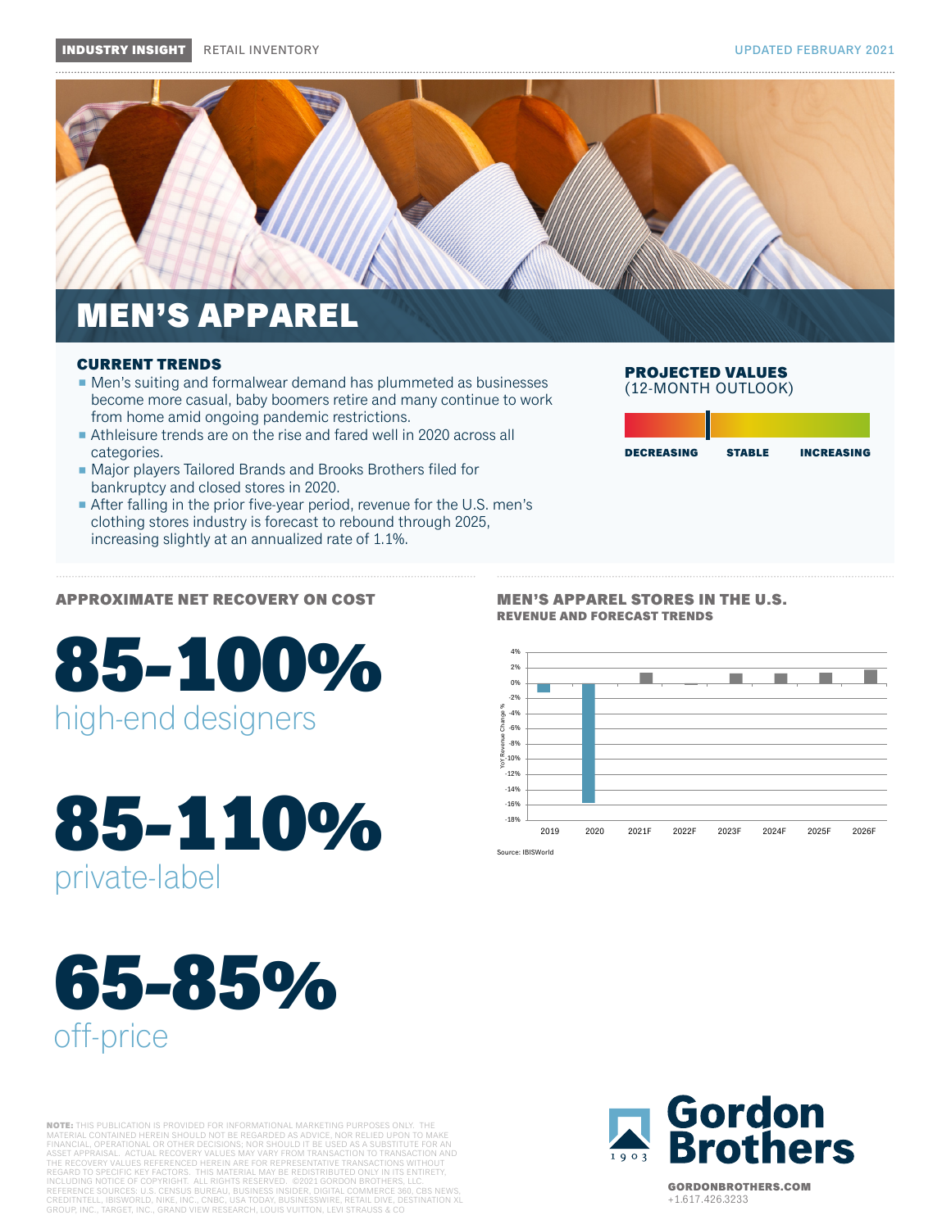

### MEN'S APPAREL

#### CURRENT TRENDS

- Men's suiting and formalwear demand has plummeted as businesses become more casual, baby boomers retire and many continue to work from home amid ongoing pandemic restrictions.
- Athleisure trends are on the rise and fared well in 2020 across all categories.
- Major players Tailored Brands and Brooks Brothers filed for bankruptcy and closed stores in 2020.
- After falling in the prior five-year period, revenue for the U.S. men's clothing stores industry is forecast to rebound through 2025, increasing slightly at an annualized rate of 1.1%.

### APPROXIMATE NET RECOVERY ON COST

# 85-100 % high-end designers

# 85-110 % private-label

# 65-85 % off-price

**NOTE:** THIS PUBLICATION IS PROVIDED FOR INFORMATIONAL MARKETING PURPOSES ONLY. THE<br>MATERIAL CONTAINED HEREIN SHOULD NOT BE REGARDED AS ADVICE, NOR RELIED UPON TO MAKE<br>FINANCIAL, OPERATIONAL OR OTHER DECISIONS; NOR SHOULD



MEN'S APPAREL STORES IN THE U.S. REVENUE AND FORECAST TRENDS



PROJECTED VALUES (12-MONTH OUTLOOK)

DECREASING STABLE INCREASING

Source: IBISWorld